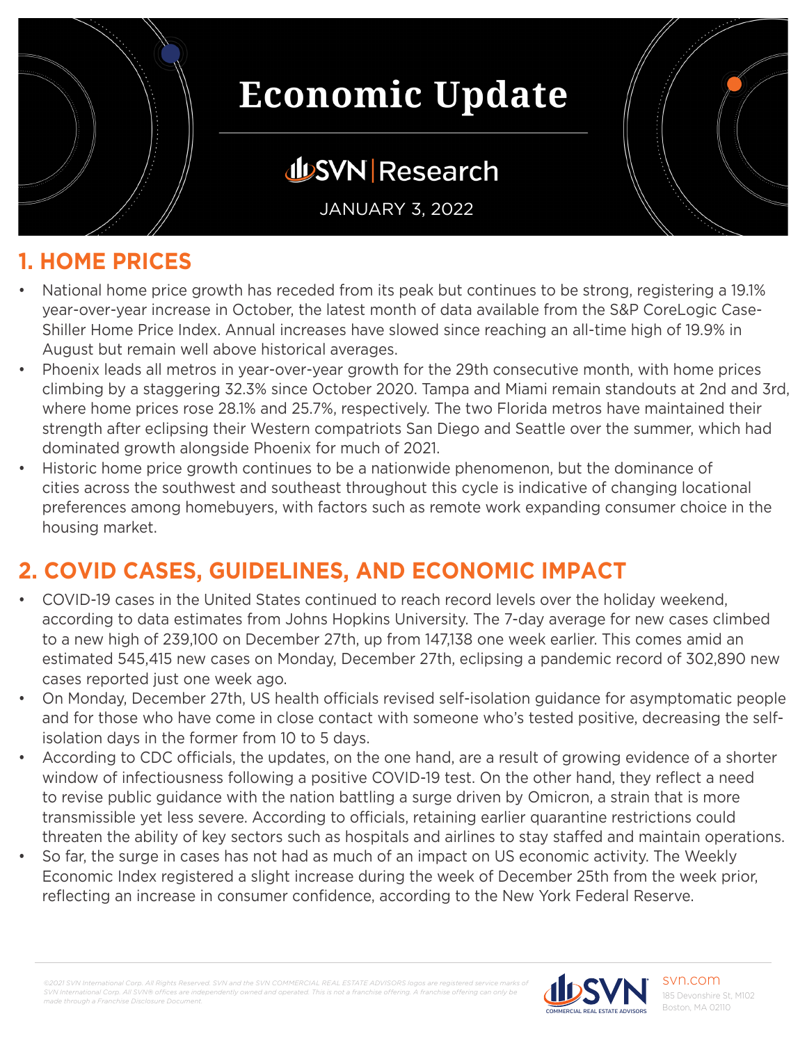

## **JUSVN Research**

JANUARY 3, 2022

#### **1. HOME PRICES**

- National home price growth has receded from its peak but continues to be strong, registering a 19.1% year-over-year increase in October, the latest month of data available from the S&P CoreLogic Case-Shiller Home Price Index. Annual increases have slowed since reaching an all-time high of 19.9% in August but remain well above historical averages.
- Phoenix leads all metros in year-over-year growth for the 29th consecutive month, with home prices climbing by a staggering 32.3% since October 2020. Tampa and Miami remain standouts at 2nd and 3rd, where home prices rose 28.1% and 25.7%, respectively. The two Florida metros have maintained their strength after eclipsing their Western compatriots San Diego and Seattle over the summer, which had dominated growth alongside Phoenix for much of 2021.
- Historic home price growth continues to be a nationwide phenomenon, but the dominance of cities across the southwest and southeast throughout this cycle is indicative of changing locational preferences among homebuyers, with factors such as remote work expanding consumer choice in the housing market.

### **2. COVID CASES, GUIDELINES, AND ECONOMIC IMPACT**

- COVID-19 cases in the United States continued to reach record levels over the holiday weekend, according to data estimates from Johns Hopkins University. The 7-day average for new cases climbed to a new high of 239,100 on December 27th, up from 147,138 one week earlier. This comes amid an estimated 545,415 new cases on Monday, December 27th, eclipsing a pandemic record of 302,890 new cases reported just one week ago.
- On Monday, December 27th, US health officials revised self-isolation guidance for asymptomatic people and for those who have come in close contact with someone who's tested positive, decreasing the selfisolation days in the former from 10 to 5 days.
- According to CDC officials, the updates, on the one hand, are a result of growing evidence of a shorter window of infectiousness following a positive COVID-19 test. On the other hand, they reflect a need to revise public guidance with the nation battling a surge driven by Omicron, a strain that is more transmissible yet less severe. According to officials, retaining earlier quarantine restrictions could threaten the ability of key sectors such as hospitals and airlines to stay staffed and maintain operations.
- So far, the surge in cases has not had as much of an impact on US economic activity. The Weekly Economic Index registered a slight increase during the week of December 25th from the week prior, reflecting an increase in consumer confidence, according to the New York Federal Reserve.

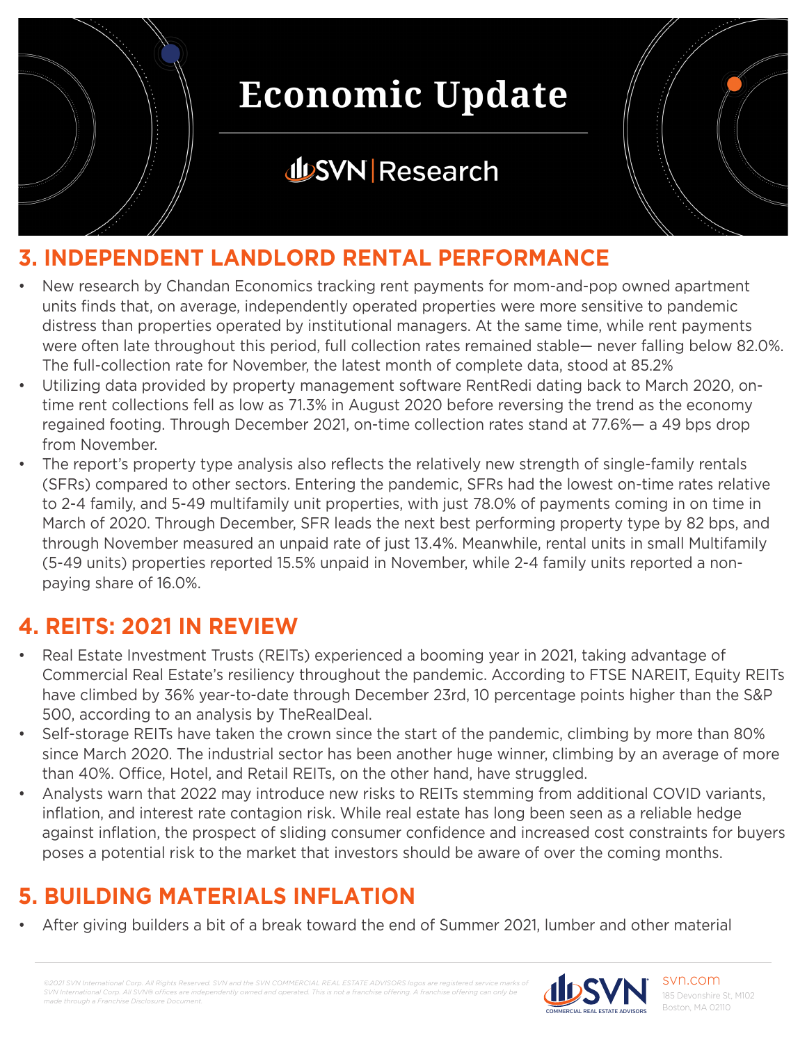

### **JUSVN Research**



### **3. INDEPENDENT LANDLORD RENTAL PERFORMANCE**

- New research by Chandan Economics tracking rent payments for mom-and-pop owned apartment units finds that, on average, independently operated properties were more sensitive to pandemic distress than properties operated by institutional managers. At the same time, while rent payments were often late throughout this period, full collection rates remained stable— never falling below 82.0%. The full-collection rate for November, the latest month of complete data, stood at 85.2%
- Utilizing data provided by property management software RentRedi dating back to March 2020, ontime rent collections fell as low as 71.3% in August 2020 before reversing the trend as the economy regained footing. Through December 2021, on-time collection rates stand at 77.6%— a 49 bps drop from November.
- The report's property type analysis also reflects the relatively new strength of single-family rentals (SFRs) compared to other sectors. Entering the pandemic, SFRs had the lowest on-time rates relative to 2-4 family, and 5-49 multifamily unit properties, with just 78.0% of payments coming in on time in March of 2020. Through December, SFR leads the next best performing property type by 82 bps, and through November measured an unpaid rate of just 13.4%. Meanwhile, rental units in small Multifamily (5-49 units) properties reported 15.5% unpaid in November, while 2-4 family units reported a nonpaying share of 16.0%.

#### **4. REITS: 2021 IN REVIEW**

- Real Estate Investment Trusts (REITs) experienced a booming year in 2021, taking advantage of Commercial Real Estate's resiliency throughout the pandemic. According to FTSE NAREIT, Equity REITs have climbed by 36% year-to-date through December 23rd, 10 percentage points higher than the S&P 500, according to an analysis by TheRealDeal.
- Self-storage REITs have taken the crown since the start of the pandemic, climbing by more than 80% since March 2020. The industrial sector has been another huge winner, climbing by an average of more than 40%. Office, Hotel, and Retail REITs, on the other hand, have struggled.
- Analysts warn that 2022 may introduce new risks to REITs stemming from additional COVID variants, inflation, and interest rate contagion risk. While real estate has long been seen as a reliable hedge against inflation, the prospect of sliding consumer confidence and increased cost constraints for buyers poses a potential risk to the market that investors should be aware of over the coming months.

### **5. BUILDING MATERIALS INFLATION**

• After giving builders a bit of a break toward the end of Summer 2021, lumber and other material

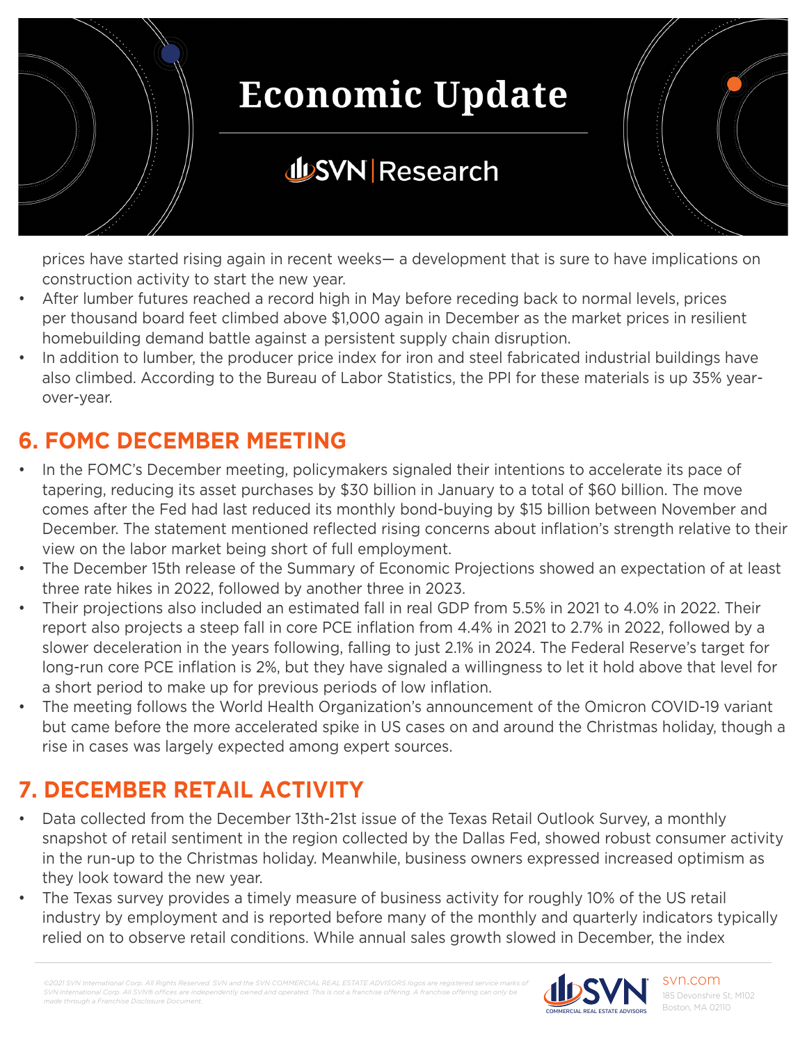

## **JUSVN Research**

prices have started rising again in recent weeks— a development that is sure to have implications on construction activity to start the new year.

- After lumber futures reached a record high in May before receding back to normal levels, prices per thousand board feet climbed above \$1,000 again in December as the market prices in resilient homebuilding demand battle against a persistent supply chain disruption.
- In addition to lumber, the producer price index for iron and steel fabricated industrial buildings have also climbed. According to the Bureau of Labor Statistics, the PPI for these materials is up 35% yearover-year.

#### **6. FOMC DECEMBER MEETING**

- In the FOMC's December meeting, policymakers signaled their intentions to accelerate its pace of tapering, reducing its asset purchases by \$30 billion in January to a total of \$60 billion. The move comes after the Fed had last reduced its monthly bond-buying by \$15 billion between November and December. The statement mentioned reflected rising concerns about inflation's strength relative to their view on the labor market being short of full employment.
- The December 15th release of the Summary of Economic Projections showed an expectation of at least three rate hikes in 2022, followed by another three in 2023.
- Their projections also included an estimated fall in real GDP from 5.5% in 2021 to 4.0% in 2022. Their report also projects a steep fall in core PCE inflation from 4.4% in 2021 to 2.7% in 2022, followed by a slower deceleration in the years following, falling to just 2.1% in 2024. The Federal Reserve's target for long-run core PCE inflation is 2%, but they have signaled a willingness to let it hold above that level for a short period to make up for previous periods of low inflation.
- The meeting follows the World Health Organization's announcement of the Omicron COVID-19 variant but came before the more accelerated spike in US cases on and around the Christmas holiday, though a rise in cases was largely expected among expert sources.

### **7. DECEMBER RETAIL ACTIVITY**

- Data collected from the December 13th-21st issue of the Texas Retail Outlook Survey, a monthly snapshot of retail sentiment in the region collected by the Dallas Fed, showed robust consumer activity in the run-up to the Christmas holiday. Meanwhile, business owners expressed increased optimism as they look toward the new year.
- The Texas survey provides a timely measure of business activity for roughly 10% of the US retail industry by employment and is reported before many of the monthly and quarterly indicators typically relied on to observe retail conditions. While annual sales growth slowed in December, the index

*©2021 SVN International Corp. All Rights Reserved. SVN and the SVN COMMERCIAL REAL ESTATE ADVISORS logos are registered service marks of SVN International Corp. All SVN® offices are independent made through a Franchise Disclosure Document.*

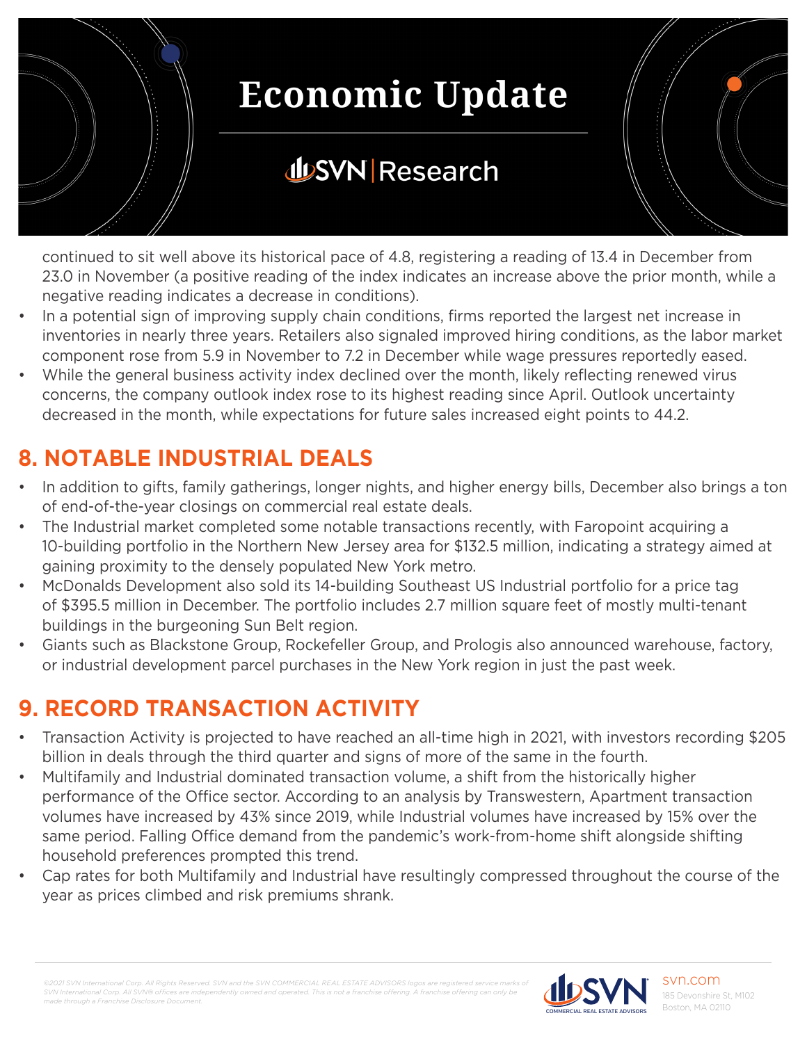

## **JUSVN Research**

continued to sit well above its historical pace of 4.8, registering a reading of 13.4 in December from 23.0 in November (a positive reading of the index indicates an increase above the prior month, while a negative reading indicates a decrease in conditions).

- In a potential sign of improving supply chain conditions, firms reported the largest net increase in inventories in nearly three years. Retailers also signaled improved hiring conditions, as the labor market component rose from 5.9 in November to 7.2 in December while wage pressures reportedly eased.
- While the general business activity index declined over the month, likely reflecting renewed virus concerns, the company outlook index rose to its highest reading since April. Outlook uncertainty decreased in the month, while expectations for future sales increased eight points to 44.2.

#### **8. NOTABLE INDUSTRIAL DEALS**

- In addition to gifts, family gatherings, longer nights, and higher energy bills, December also brings a ton of end-of-the-year closings on commercial real estate deals.
- The Industrial market completed some notable transactions recently, with Faropoint acquiring a 10-building portfolio in the Northern New Jersey area for \$132.5 million, indicating a strategy aimed at gaining proximity to the densely populated New York metro.
- McDonalds Development also sold its 14-building Southeast US Industrial portfolio for a price tag of \$395.5 million in December. The portfolio includes 2.7 million square feet of mostly multi-tenant buildings in the burgeoning Sun Belt region.
- Giants such as Blackstone Group, Rockefeller Group, and Prologis also announced warehouse, factory, or industrial development parcel purchases in the New York region in just the past week.

### **9. RECORD TRANSACTION ACTIVITY**

- Transaction Activity is projected to have reached an all-time high in 2021, with investors recording \$205 billion in deals through the third quarter and signs of more of the same in the fourth.
- Multifamily and Industrial dominated transaction volume, a shift from the historically higher performance of the Office sector. According to an analysis by Transwestern, Apartment transaction volumes have increased by 43% since 2019, while Industrial volumes have increased by 15% over the same period. Falling Office demand from the pandemic's work-from-home shift alongside shifting household preferences prompted this trend.
- Cap rates for both Multifamily and Industrial have resultingly compressed throughout the course of the year as prices climbed and risk premiums shrank.

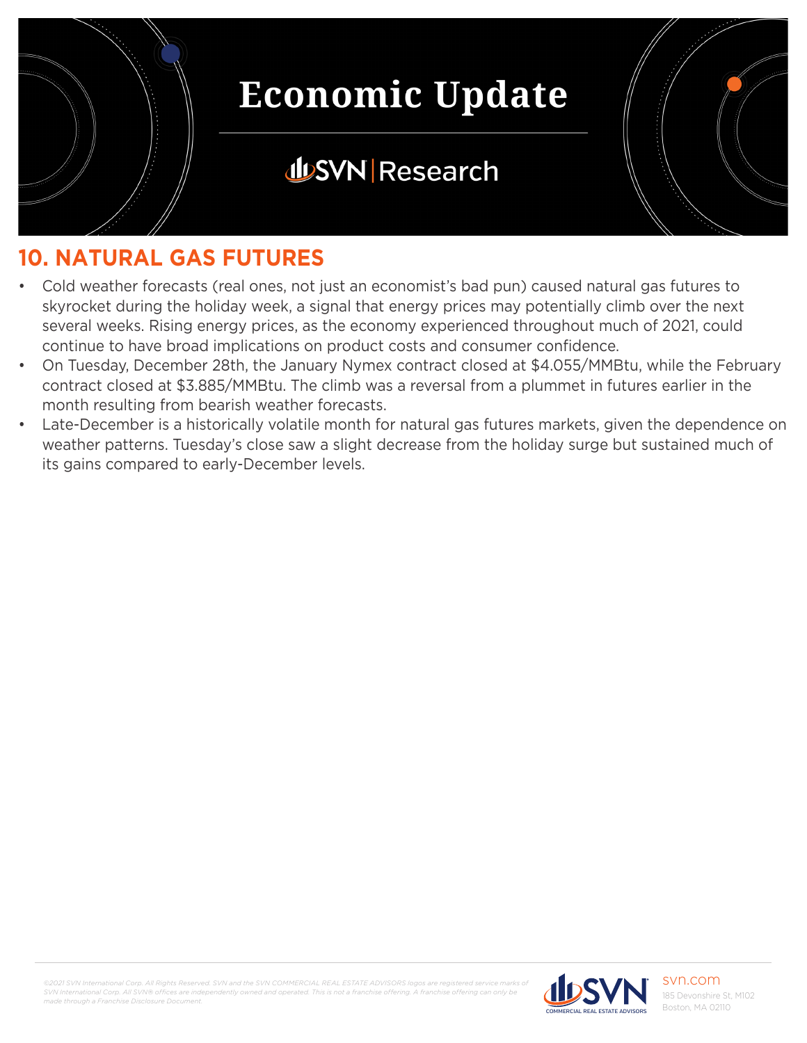

## **JUSVN Research**



- Cold weather forecasts (real ones, not just an economist's bad pun) caused natural gas futures to skyrocket during the holiday week, a signal that energy prices may potentially climb over the next several weeks. Rising energy prices, as the economy experienced throughout much of 2021, could continue to have broad implications on product costs and consumer confidence.
- On Tuesday, December 28th, the January Nymex contract closed at \$4.055/MMBtu, while the February contract closed at \$3.885/MMBtu. The climb was a reversal from a plummet in futures earlier in the month resulting from bearish weather forecasts.
- Late-December is a historically volatile month for natural gas futures markets, given the dependence on weather patterns. Tuesday's close saw a slight decrease from the holiday surge but sustained much of its gains compared to early-December levels.